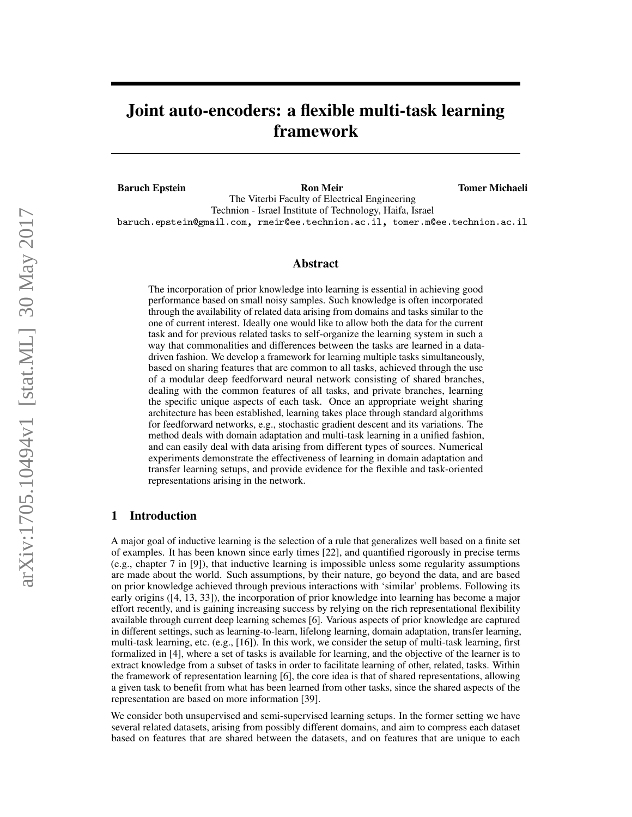# Joint auto-encoders: a flexible multi-task learning framework

Baruch Epstein Ron Meir Tomer Michaeli

The Viterbi Faculty of Electrical Engineering Technion - Israel Institute of Technology, Haifa, Israel baruch.epstein@gmail.com, rmeir@ee.technion.ac.il, tomer.m@ee.technion.ac.il

#### Abstract

The incorporation of prior knowledge into learning is essential in achieving good performance based on small noisy samples. Such knowledge is often incorporated through the availability of related data arising from domains and tasks similar to the one of current interest. Ideally one would like to allow both the data for the current task and for previous related tasks to self-organize the learning system in such a way that commonalities and differences between the tasks are learned in a datadriven fashion. We develop a framework for learning multiple tasks simultaneously, based on sharing features that are common to all tasks, achieved through the use of a modular deep feedforward neural network consisting of shared branches, dealing with the common features of all tasks, and private branches, learning the specific unique aspects of each task. Once an appropriate weight sharing architecture has been established, learning takes place through standard algorithms for feedforward networks, e.g., stochastic gradient descent and its variations. The method deals with domain adaptation and multi-task learning in a unified fashion, and can easily deal with data arising from different types of sources. Numerical experiments demonstrate the effectiveness of learning in domain adaptation and transfer learning setups, and provide evidence for the flexible and task-oriented representations arising in the network.

## 1 Introduction

A major goal of inductive learning is the selection of a rule that generalizes well based on a finite set of examples. It has been known since early times [22], and quantified rigorously in precise terms (e.g., chapter 7 in [9]), that inductive learning is impossible unless some regularity assumptions are made about the world. Such assumptions, by their nature, go beyond the data, and are based on prior knowledge achieved through previous interactions with 'similar' problems. Following its early origins ([4, 13, 33]), the incorporation of prior knowledge into learning has become a major effort recently, and is gaining increasing success by relying on the rich representational flexibility available through current deep learning schemes [6]. Various aspects of prior knowledge are captured in different settings, such as learning-to-learn, lifelong learning, domain adaptation, transfer learning, multi-task learning, etc. (e.g., [16]). In this work, we consider the setup of multi-task learning, first formalized in [4], where a set of tasks is available for learning, and the objective of the learner is to extract knowledge from a subset of tasks in order to facilitate learning of other, related, tasks. Within the framework of representation learning [6], the core idea is that of shared representations, allowing a given task to benefit from what has been learned from other tasks, since the shared aspects of the representation are based on more information [39].

We consider both unsupervised and semi-supervised learning setups. In the former setting we have several related datasets, arising from possibly different domains, and aim to compress each dataset based on features that are shared between the datasets, and on features that are unique to each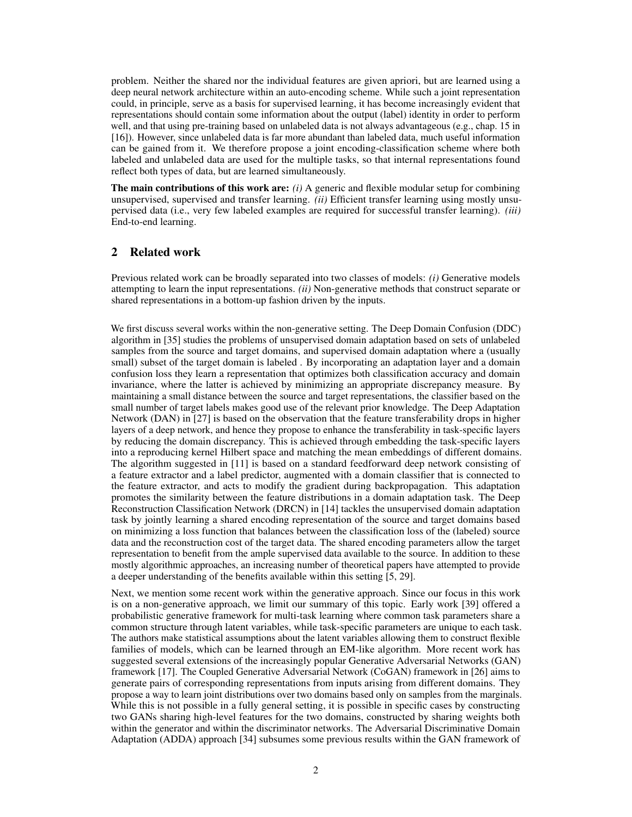problem. Neither the shared nor the individual features are given apriori, but are learned using a deep neural network architecture within an auto-encoding scheme. While such a joint representation could, in principle, serve as a basis for supervised learning, it has become increasingly evident that representations should contain some information about the output (label) identity in order to perform well, and that using pre-training based on unlabeled data is not always advantageous (e.g., chap. 15 in [16]). However, since unlabeled data is far more abundant than labeled data, much useful information can be gained from it. We therefore propose a joint encoding-classification scheme where both labeled and unlabeled data are used for the multiple tasks, so that internal representations found reflect both types of data, but are learned simultaneously.

The main contributions of this work are: *(i)* A generic and flexible modular setup for combining unsupervised, supervised and transfer learning. *(ii)* Efficient transfer learning using mostly unsupervised data (i.e., very few labeled examples are required for successful transfer learning). *(iii)* End-to-end learning.

# 2 Related work

Previous related work can be broadly separated into two classes of models: *(i)* Generative models attempting to learn the input representations. *(ii)* Non-generative methods that construct separate or shared representations in a bottom-up fashion driven by the inputs.

We first discuss several works within the non-generative setting. The Deep Domain Confusion (DDC) algorithm in [35] studies the problems of unsupervised domain adaptation based on sets of unlabeled samples from the source and target domains, and supervised domain adaptation where a (usually small) subset of the target domain is labeled . By incorporating an adaptation layer and a domain confusion loss they learn a representation that optimizes both classification accuracy and domain invariance, where the latter is achieved by minimizing an appropriate discrepancy measure. By maintaining a small distance between the source and target representations, the classifier based on the small number of target labels makes good use of the relevant prior knowledge. The Deep Adaptation Network (DAN) in [27] is based on the observation that the feature transferability drops in higher layers of a deep network, and hence they propose to enhance the transferability in task-specific layers by reducing the domain discrepancy. This is achieved through embedding the task-specific layers into a reproducing kernel Hilbert space and matching the mean embeddings of different domains. The algorithm suggested in [11] is based on a standard feedforward deep network consisting of a feature extractor and a label predictor, augmented with a domain classifier that is connected to the feature extractor, and acts to modify the gradient during backpropagation. This adaptation promotes the similarity between the feature distributions in a domain adaptation task. The Deep Reconstruction Classification Network (DRCN) in [14] tackles the unsupervised domain adaptation task by jointly learning a shared encoding representation of the source and target domains based on minimizing a loss function that balances between the classification loss of the (labeled) source data and the reconstruction cost of the target data. The shared encoding parameters allow the target representation to benefit from the ample supervised data available to the source. In addition to these mostly algorithmic approaches, an increasing number of theoretical papers have attempted to provide a deeper understanding of the benefits available within this setting [5, 29].

Next, we mention some recent work within the generative approach. Since our focus in this work is on a non-generative approach, we limit our summary of this topic. Early work [39] offered a probabilistic generative framework for multi-task learning where common task parameters share a common structure through latent variables, while task-specific parameters are unique to each task. The authors make statistical assumptions about the latent variables allowing them to construct flexible families of models, which can be learned through an EM-like algorithm. More recent work has suggested several extensions of the increasingly popular Generative Adversarial Networks (GAN) framework [17]. The Coupled Generative Adversarial Network (CoGAN) framework in [26] aims to generate pairs of corresponding representations from inputs arising from different domains. They propose a way to learn joint distributions over two domains based only on samples from the marginals. While this is not possible in a fully general setting, it is possible in specific cases by constructing two GANs sharing high-level features for the two domains, constructed by sharing weights both within the generator and within the discriminator networks. The Adversarial Discriminative Domain Adaptation (ADDA) approach [34] subsumes some previous results within the GAN framework of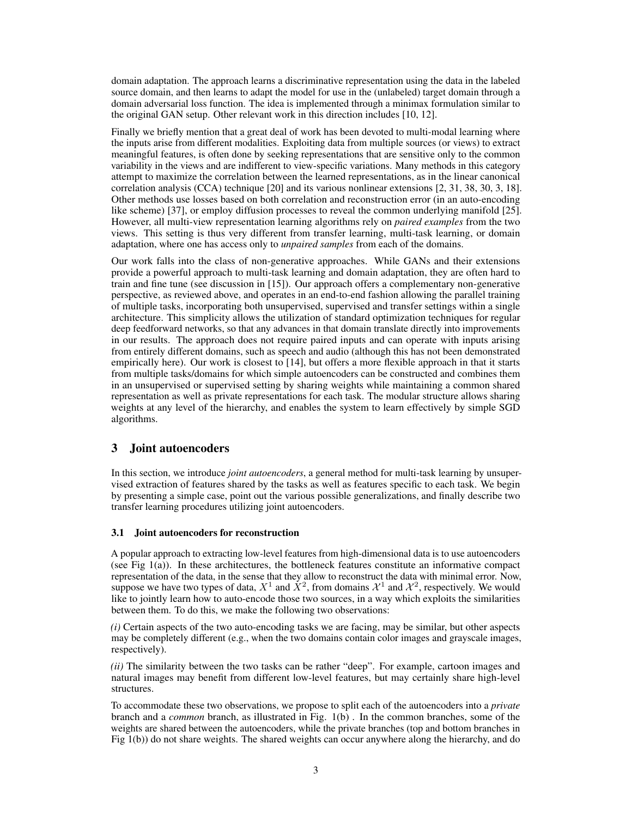domain adaptation. The approach learns a discriminative representation using the data in the labeled source domain, and then learns to adapt the model for use in the (unlabeled) target domain through a domain adversarial loss function. The idea is implemented through a minimax formulation similar to the original GAN setup. Other relevant work in this direction includes [10, 12].

Finally we briefly mention that a great deal of work has been devoted to multi-modal learning where the inputs arise from different modalities. Exploiting data from multiple sources (or views) to extract meaningful features, is often done by seeking representations that are sensitive only to the common variability in the views and are indifferent to view-specific variations. Many methods in this category attempt to maximize the correlation between the learned representations, as in the linear canonical correlation analysis (CCA) technique [20] and its various nonlinear extensions [2, 31, 38, 30, 3, 18]. Other methods use losses based on both correlation and reconstruction error (in an auto-encoding like scheme) [37], or employ diffusion processes to reveal the common underlying manifold [25]. However, all multi-view representation learning algorithms rely on *paired examples* from the two views. This setting is thus very different from transfer learning, multi-task learning, or domain adaptation, where one has access only to *unpaired samples* from each of the domains.

Our work falls into the class of non-generative approaches. While GANs and their extensions provide a powerful approach to multi-task learning and domain adaptation, they are often hard to train and fine tune (see discussion in [15]). Our approach offers a complementary non-generative perspective, as reviewed above, and operates in an end-to-end fashion allowing the parallel training of multiple tasks, incorporating both unsupervised, supervised and transfer settings within a single architecture. This simplicity allows the utilization of standard optimization techniques for regular deep feedforward networks, so that any advances in that domain translate directly into improvements in our results. The approach does not require paired inputs and can operate with inputs arising from entirely different domains, such as speech and audio (although this has not been demonstrated empirically here). Our work is closest to [14], but offers a more flexible approach in that it starts from multiple tasks/domains for which simple autoencoders can be constructed and combines them in an unsupervised or supervised setting by sharing weights while maintaining a common shared representation as well as private representations for each task. The modular structure allows sharing weights at any level of the hierarchy, and enables the system to learn effectively by simple SGD algorithms.

# 3 Joint autoencoders

In this section, we introduce *joint autoencoders*, a general method for multi-task learning by unsupervised extraction of features shared by the tasks as well as features specific to each task. We begin by presenting a simple case, point out the various possible generalizations, and finally describe two transfer learning procedures utilizing joint autoencoders.

#### 3.1 Joint autoencoders for reconstruction

A popular approach to extracting low-level features from high-dimensional data is to use autoencoders (see Fig  $1(a)$ ). In these architectures, the bottleneck features constitute an informative compact representation of the data, in the sense that they allow to reconstruct the data with minimal error. Now, suppose we have two types of data,  $X^1$  and  $X^2$ , from domains  $\mathcal{X}^1$  and  $\mathcal{X}^2$ , respectively. We would like to jointly learn how to auto-encode those two sources, in a way which exploits the similarities between them. To do this, we make the following two observations:

*(i)* Certain aspects of the two auto-encoding tasks we are facing, may be similar, but other aspects may be completely different (e.g., when the two domains contain color images and grayscale images, respectively).

*(ii)* The similarity between the two tasks can be rather "deep". For example, cartoon images and natural images may benefit from different low-level features, but may certainly share high-level structures.

To accommodate these two observations, we propose to split each of the autoencoders into a *private* branch and a *common* branch, as illustrated in Fig. 1(b) . In the common branches, some of the weights are shared between the autoencoders, while the private branches (top and bottom branches in Fig 1(b)) do not share weights. The shared weights can occur anywhere along the hierarchy, and do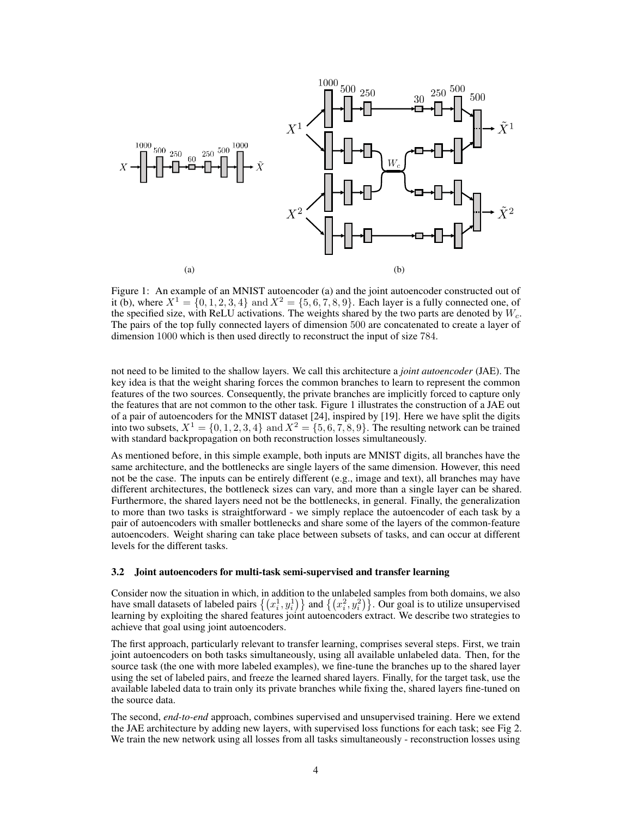

Figure 1: An example of an MNIST autoencoder (a) and the joint autoencoder constructed out of it (b), where  $X^1 = \{0, 1, 2, 3, 4\}$  and  $X^2 = \{5, 6, 7, 8, 9\}$ . Each layer is a fully connected one, of the specified size, with ReLU activations. The weights shared by the two parts are denoted by  $W_c$ . The pairs of the top fully connected layers of dimension 500 are concatenated to create a layer of dimension 1000 which is then used directly to reconstruct the input of size 784.

not need to be limited to the shallow layers. We call this architecture a *joint autoencoder* (JAE). The key idea is that the weight sharing forces the common branches to learn to represent the common features of the two sources. Consequently, the private branches are implicitly forced to capture only the features that are not common to the other task. Figure 1 illustrates the construction of a JAE out of a pair of autoencoders for the MNIST dataset [24], inspired by [19]. Here we have split the digits into two subsets,  $X^1 = \{0, 1, 2, 3, 4\}$  and  $X^2 = \{5, 6, 7, 8, 9\}$ . The resulting network can be trained with standard backpropagation on both reconstruction losses simultaneously.

As mentioned before, in this simple example, both inputs are MNIST digits, all branches have the same architecture, and the bottlenecks are single layers of the same dimension. However, this need not be the case. The inputs can be entirely different (e.g., image and text), all branches may have different architectures, the bottleneck sizes can vary, and more than a single layer can be shared. Furthermore, the shared layers need not be the bottlenecks, in general. Finally, the generalization to more than two tasks is straightforward - we simply replace the autoencoder of each task by a pair of autoencoders with smaller bottlenecks and share some of the layers of the common-feature autoencoders. Weight sharing can take place between subsets of tasks, and can occur at different levels for the different tasks.

#### 3.2 Joint autoencoders for multi-task semi-supervised and transfer learning

Consider now the situation in which, in addition to the unlabeled samples from both domains, we also have small datasets of labeled pairs  $\{(x_i^1, y_i^1)\}$  and  $\{(x_i^2, y_i^2)\}$ . Our goal is to utilize unsupervised learning by exploiting the shared features joint autoencoders extract. We describe two strategies to achieve that goal using joint autoencoders.

The first approach, particularly relevant to transfer learning, comprises several steps. First, we train joint autoencoders on both tasks simultaneously, using all available unlabeled data. Then, for the source task (the one with more labeled examples), we fine-tune the branches up to the shared layer using the set of labeled pairs, and freeze the learned shared layers. Finally, for the target task, use the available labeled data to train only its private branches while fixing the, shared layers fine-tuned on the source data.

The second, *end-to-end* approach, combines supervised and unsupervised training. Here we extend the JAE architecture by adding new layers, with supervised loss functions for each task; see Fig 2. We train the new network using all losses from all tasks simultaneously - reconstruction losses using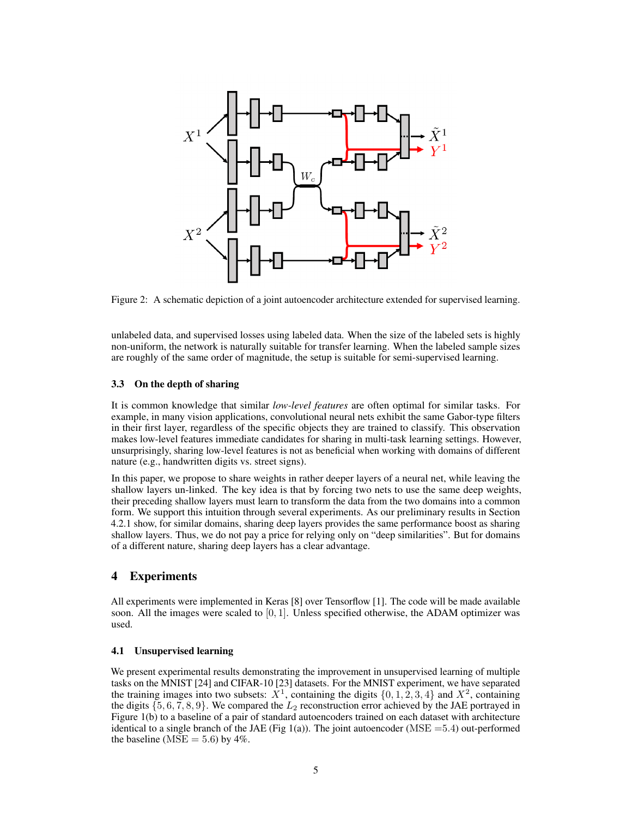

Figure 2: A schematic depiction of a joint autoencoder architecture extended for supervised learning.

unlabeled data, and supervised losses using labeled data. When the size of the labeled sets is highly non-uniform, the network is naturally suitable for transfer learning. When the labeled sample sizes are roughly of the same order of magnitude, the setup is suitable for semi-supervised learning.

#### 3.3 On the depth of sharing

It is common knowledge that similar *low-level features* are often optimal for similar tasks. For example, in many vision applications, convolutional neural nets exhibit the same Gabor-type filters in their first layer, regardless of the specific objects they are trained to classify. This observation makes low-level features immediate candidates for sharing in multi-task learning settings. However, unsurprisingly, sharing low-level features is not as beneficial when working with domains of different nature (e.g., handwritten digits vs. street signs).

In this paper, we propose to share weights in rather deeper layers of a neural net, while leaving the shallow layers un-linked. The key idea is that by forcing two nets to use the same deep weights, their preceding shallow layers must learn to transform the data from the two domains into a common form. We support this intuition through several experiments. As our preliminary results in Section 4.2.1 show, for similar domains, sharing deep layers provides the same performance boost as sharing shallow layers. Thus, we do not pay a price for relying only on "deep similarities". But for domains of a different nature, sharing deep layers has a clear advantage.

#### 4 Experiments

All experiments were implemented in Keras [8] over Tensorflow [1]. The code will be made available soon. All the images were scaled to  $[0, 1]$ . Unless specified otherwise, the ADAM optimizer was used.

#### 4.1 Unsupervised learning

We present experimental results demonstrating the improvement in unsupervised learning of multiple tasks on the MNIST [24] and CIFAR-10 [23] datasets. For the MNIST experiment, we have separated the training images into two subsets:  $X^1$ , containing the digits  $\{0, 1, 2, 3, 4\}$  and  $X^2$ , containing the digits  $\{5, 6, 7, 8, 9\}$ . We compared the  $L_2$  reconstruction error achieved by the JAE portrayed in Figure 1(b) to a baseline of a pair of standard autoencoders trained on each dataset with architecture identical to a single branch of the JAE (Fig 1(a)). The joint autoencoder ( $MSE = 5.4$ ) out-performed the baseline ( $MSE = 5.6$ ) by 4%.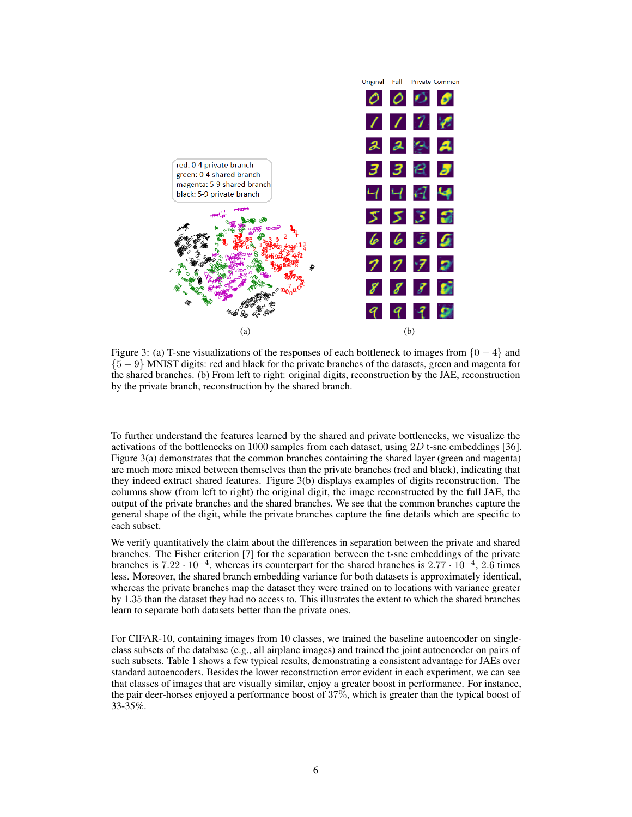

Figure 3: (a) T-sne visualizations of the responses of each bottleneck to images from  $\{0 - 4\}$  and {5 − 9} MNIST digits: red and black for the private branches of the datasets, green and magenta for the shared branches. (b) From left to right: original digits, reconstruction by the JAE, reconstruction by the private branch, reconstruction by the shared branch.

To further understand the features learned by the shared and private bottlenecks, we visualize the activations of the bottlenecks on 1000 samples from each dataset, using  $2D$  t-sne embeddings [36]. Figure 3(a) demonstrates that the common branches containing the shared layer (green and magenta) are much more mixed between themselves than the private branches (red and black), indicating that they indeed extract shared features. Figure 3(b) displays examples of digits reconstruction. The columns show (from left to right) the original digit, the image reconstructed by the full JAE, the output of the private branches and the shared branches. We see that the common branches capture the general shape of the digit, while the private branches capture the fine details which are specific to each subset.

We verify quantitatively the claim about the differences in separation between the private and shared branches. The Fisher criterion [7] for the separation between the t-sne embeddings of the private branches is  $7.22 \cdot 10^{-4}$ , whereas its counterpart for the shared branches is  $2.77 \cdot 10^{-4}$ ,  $2.6$  times less. Moreover, the shared branch embedding variance for both datasets is approximately identical, whereas the private branches map the dataset they were trained on to locations with variance greater by 1.35 than the dataset they had no access to. This illustrates the extent to which the shared branches learn to separate both datasets better than the private ones.

For CIFAR-10, containing images from 10 classes, we trained the baseline autoencoder on singleclass subsets of the database (e.g., all airplane images) and trained the joint autoencoder on pairs of such subsets. Table 1 shows a few typical results, demonstrating a consistent advantage for JAEs over standard autoencoders. Besides the lower reconstruction error evident in each experiment, we can see that classes of images that are visually similar, enjoy a greater boost in performance. For instance, the pair deer-horses enjoyed a performance boost of 37%, which is greater than the typical boost of 33-35%.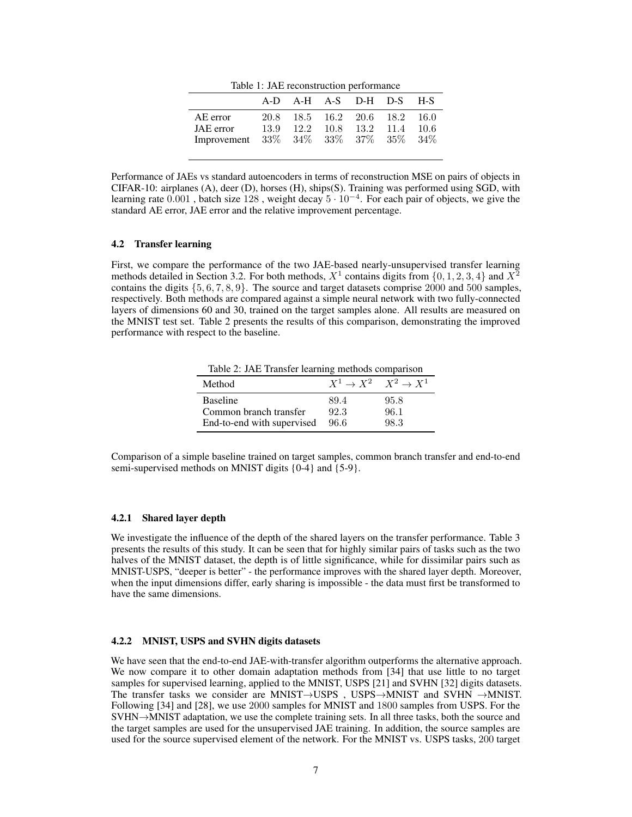Table 1: JAE reconstruction performance

|                                                              |              |  | A-D A-H A-S D-H D-S H-S                              |  |
|--------------------------------------------------------------|--------------|--|------------------------------------------------------|--|
| AE error<br>JAE error<br>Improvement 33% 34% 33% 37% 35% 34% | 20.8<br>13.9 |  | 18.5 16.2 20.6 18.2 16.0<br>12.2 10.8 13.2 11.4 10.6 |  |

Performance of JAEs vs standard autoencoders in terms of reconstruction MSE on pairs of objects in CIFAR-10: airplanes (A), deer (D), horses (H), ships(S). Training was performed using SGD, with learning rate  $0.001$ , batch size 128, weight decay  $5 \cdot 10^{-4}$ . For each pair of objects, we give the standard AE error, JAE error and the relative improvement percentage.

#### 4.2 Transfer learning

First, we compare the performance of the two JAE-based nearly-unsupervised transfer learning methods detailed in Section 3.2. For both methods,  $X^1$  contains digits from  $\{0, 1, 2, 3, 4\}$  and  $X^2$ contains the digits  $\{5, 6, 7, 8, 9\}$ . The source and target datasets comprise 2000 and 500 samples, respectively. Both methods are compared against a simple neural network with two fully-connected layers of dimensions 60 and 30, trained on the target samples alone. All results are measured on the MNIST test set. Table 2 presents the results of this comparison, demonstrating the improved performance with respect to the baseline.

Table 2: JAE Transfer learning methods comparison

| Method                     | $X^1 \rightarrow X^2 \quad X^2 \rightarrow X^1$ |      |
|----------------------------|-------------------------------------------------|------|
| <b>Baseline</b>            | 89.4                                            | 95.8 |
| Common branch transfer     | 92.3                                            | 96.1 |
| End-to-end with supervised | 96.6                                            | 98.3 |

Comparison of a simple baseline trained on target samples, common branch transfer and end-to-end semi-supervised methods on MNIST digits {0-4} and {5-9}.

#### 4.2.1 Shared layer depth

We investigate the influence of the depth of the shared layers on the transfer performance. Table 3 presents the results of this study. It can be seen that for highly similar pairs of tasks such as the two halves of the MNIST dataset, the depth is of little significance, while for dissimilar pairs such as MNIST-USPS, "deeper is better" - the performance improves with the shared layer depth. Moreover, when the input dimensions differ, early sharing is impossible - the data must first be transformed to have the same dimensions.

## 4.2.2 MNIST, USPS and SVHN digits datasets

We have seen that the end-to-end JAE-with-transfer algorithm outperforms the alternative approach. We now compare it to other domain adaptation methods from [34] that use little to no target samples for supervised learning, applied to the MNIST, USPS [21] and SVHN [32] digits datasets. The transfer tasks we consider are MNIST $\rightarrow$ USPS , USPS $\rightarrow$ MNIST and SVHN  $\rightarrow$ MNIST. Following [34] and [28], we use 2000 samples for MNIST and 1800 samples from USPS. For the SVHN→MNIST adaptation, we use the complete training sets. In all three tasks, both the source and the target samples are used for the unsupervised JAE training. In addition, the source samples are used for the source supervised element of the network. For the MNIST vs. USPS tasks, 200 target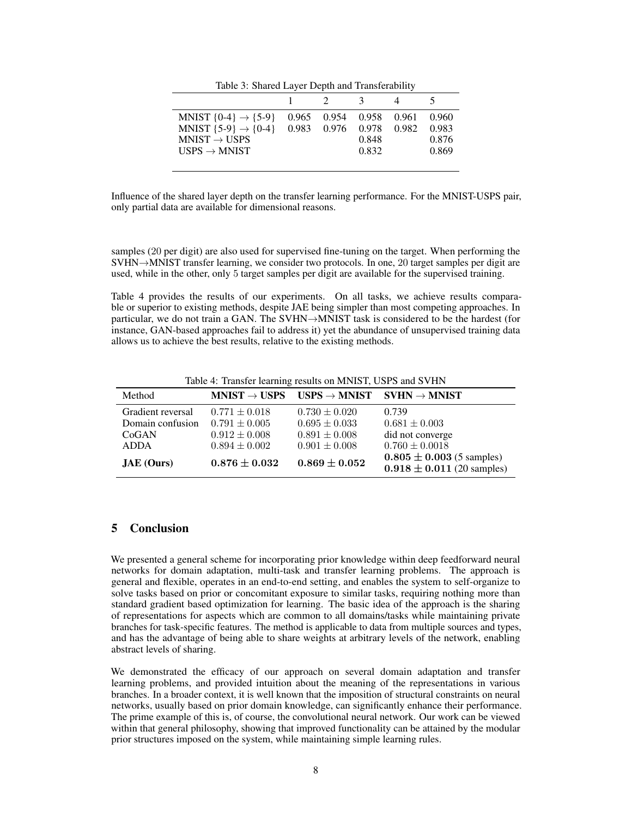|  |  |  | Table 3: Shared Layer Depth and Transferability |
|--|--|--|-------------------------------------------------|
|--|--|--|-------------------------------------------------|

| MNIST $\{0-4\} \rightarrow \{5-9\}$ | 0.965 0.954 0.958 0.961 |       | 0.960 |
|-------------------------------------|-------------------------|-------|-------|
| MNIST $\{5-9\} \rightarrow \{0-4\}$ | 0.983 0.976 0.978 0.982 |       | 0.983 |
| $MNIST \rightarrow USPS$            |                         | 0.848 | 0.876 |
| USPS $\rightarrow$ MNIST            |                         | 0.832 | 0.869 |
|                                     |                         |       |       |

Influence of the shared layer depth on the transfer learning performance. For the MNIST-USPS pair, only partial data are available for dimensional reasons.

samples (20 per digit) are also used for supervised fine-tuning on the target. When performing the SVHN→MNIST transfer learning, we consider two protocols. In one, 20 target samples per digit are used, while in the other, only 5 target samples per digit are available for the supervised training.

Table 4 provides the results of our experiments. On all tasks, we achieve results comparable or superior to existing methods, despite JAE being simpler than most competing approaches. In particular, we do not train a GAN. The SVHN→MNIST task is considered to be the hardest (for instance, GAN-based approaches fail to address it) yet the abundance of unsupervised training data allows us to achieve the best results, relative to the existing methods.

Table 4: Transfer learning results on MNIST, USPS and SVHN

| Method            |                   | $MNIST \rightarrow USPS$ $USPS \rightarrow MNIST$ $SVHN \rightarrow MNIST$ |                                                                 |
|-------------------|-------------------|----------------------------------------------------------------------------|-----------------------------------------------------------------|
| Gradient reversal | $0.771 \pm 0.018$ | $0.730 \pm 0.020$                                                          | 0.739                                                           |
| Domain confusion  | $0.791 \pm 0.005$ | $0.695 \pm 0.033$                                                          | $0.681 \pm 0.003$                                               |
| CoGAN             | $0.912 \pm 0.008$ | $0.891 \pm 0.008$                                                          | did not converge                                                |
| <b>ADDA</b>       | $0.894 \pm 0.002$ | $0.901 \pm 0.008$                                                          | $0.760 \pm 0.0018$                                              |
| $JAE$ (Ours)      | $0.876 + 0.032$   | $0.869\pm0.052$                                                            | $0.805 \pm 0.003$ (5 samples)<br>$0.918 \pm 0.011$ (20 samples) |

# 5 Conclusion

We presented a general scheme for incorporating prior knowledge within deep feedforward neural networks for domain adaptation, multi-task and transfer learning problems. The approach is general and flexible, operates in an end-to-end setting, and enables the system to self-organize to solve tasks based on prior or concomitant exposure to similar tasks, requiring nothing more than standard gradient based optimization for learning. The basic idea of the approach is the sharing of representations for aspects which are common to all domains/tasks while maintaining private branches for task-specific features. The method is applicable to data from multiple sources and types, and has the advantage of being able to share weights at arbitrary levels of the network, enabling abstract levels of sharing.

We demonstrated the efficacy of our approach on several domain adaptation and transfer learning problems, and provided intuition about the meaning of the representations in various branches. In a broader context, it is well known that the imposition of structural constraints on neural networks, usually based on prior domain knowledge, can significantly enhance their performance. The prime example of this is, of course, the convolutional neural network. Our work can be viewed within that general philosophy, showing that improved functionality can be attained by the modular prior structures imposed on the system, while maintaining simple learning rules.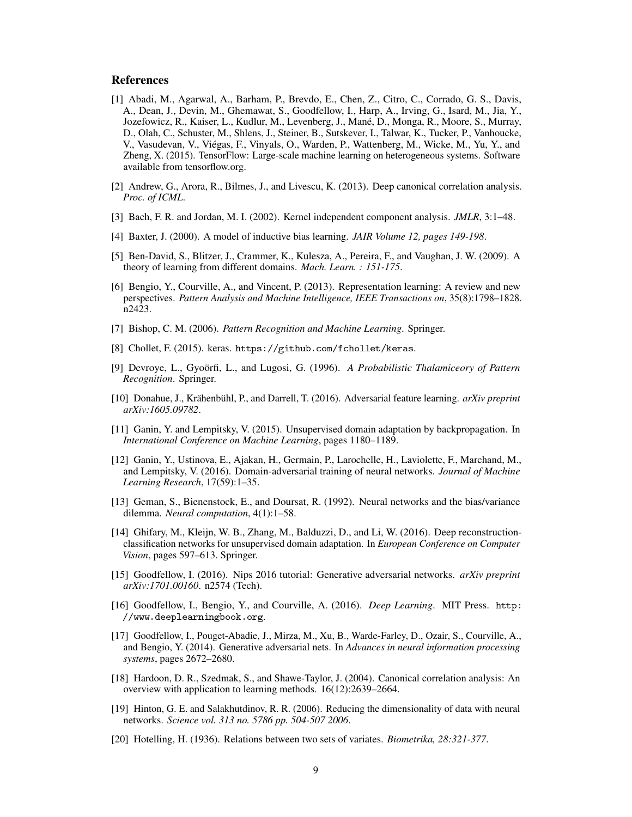#### References

- [1] Abadi, M., Agarwal, A., Barham, P., Brevdo, E., Chen, Z., Citro, C., Corrado, G. S., Davis, A., Dean, J., Devin, M., Ghemawat, S., Goodfellow, I., Harp, A., Irving, G., Isard, M., Jia, Y., Jozefowicz, R., Kaiser, L., Kudlur, M., Levenberg, J., Mané, D., Monga, R., Moore, S., Murray, D., Olah, C., Schuster, M., Shlens, J., Steiner, B., Sutskever, I., Talwar, K., Tucker, P., Vanhoucke, V., Vasudevan, V., Viégas, F., Vinyals, O., Warden, P., Wattenberg, M., Wicke, M., Yu, Y., and Zheng, X. (2015). TensorFlow: Large-scale machine learning on heterogeneous systems. Software available from tensorflow.org.
- [2] Andrew, G., Arora, R., Bilmes, J., and Livescu, K. (2013). Deep canonical correlation analysis. *Proc. of ICML*.
- [3] Bach, F. R. and Jordan, M. I. (2002). Kernel independent component analysis. *JMLR*, 3:1–48.
- [4] Baxter, J. (2000). A model of inductive bias learning. *JAIR Volume 12, pages 149-198*.
- [5] Ben-David, S., Blitzer, J., Crammer, K., Kulesza, A., Pereira, F., and Vaughan, J. W. (2009). A theory of learning from different domains. *Mach. Learn. : 151-175*.
- [6] Bengio, Y., Courville, A., and Vincent, P. (2013). Representation learning: A review and new perspectives. *Pattern Analysis and Machine Intelligence, IEEE Transactions on*, 35(8):1798–1828. n2423.
- [7] Bishop, C. M. (2006). *Pattern Recognition and Machine Learning*. Springer.
- [8] Chollet, F. (2015). keras. https://github.com/fchollet/keras.
- [9] Devroye, L., Gyoörfi, L., and Lugosi, G. (1996). *A Probabilistic Thalamiceory of Pattern Recognition*. Springer.
- [10] Donahue, J., Krähenbühl, P., and Darrell, T. (2016). Adversarial feature learning. *arXiv preprint arXiv:1605.09782*.
- [11] Ganin, Y. and Lempitsky, V. (2015). Unsupervised domain adaptation by backpropagation. In *International Conference on Machine Learning*, pages 1180–1189.
- [12] Ganin, Y., Ustinova, E., Ajakan, H., Germain, P., Larochelle, H., Laviolette, F., Marchand, M., and Lempitsky, V. (2016). Domain-adversarial training of neural networks. *Journal of Machine Learning Research*, 17(59):1–35.
- [13] Geman, S., Bienenstock, E., and Doursat, R. (1992). Neural networks and the bias/variance dilemma. *Neural computation*, 4(1):1–58.
- [14] Ghifary, M., Kleijn, W. B., Zhang, M., Balduzzi, D., and Li, W. (2016). Deep reconstructionclassification networks for unsupervised domain adaptation. In *European Conference on Computer Vision*, pages 597–613. Springer.
- [15] Goodfellow, I. (2016). Nips 2016 tutorial: Generative adversarial networks. *arXiv preprint arXiv:1701.00160*. n2574 (Tech).
- [16] Goodfellow, I., Bengio, Y., and Courville, A. (2016). *Deep Learning*. MIT Press. http: //www.deeplearningbook.org.
- [17] Goodfellow, I., Pouget-Abadie, J., Mirza, M., Xu, B., Warde-Farley, D., Ozair, S., Courville, A., and Bengio, Y. (2014). Generative adversarial nets. In *Advances in neural information processing systems*, pages 2672–2680.
- [18] Hardoon, D. R., Szedmak, S., and Shawe-Taylor, J. (2004). Canonical correlation analysis: An overview with application to learning methods. 16(12):2639–2664.
- [19] Hinton, G. E. and Salakhutdinov, R. R. (2006). Reducing the dimensionality of data with neural networks. *Science vol. 313 no. 5786 pp. 504-507 2006*.
- [20] Hotelling, H. (1936). Relations between two sets of variates. *Biometrika, 28:321-377*.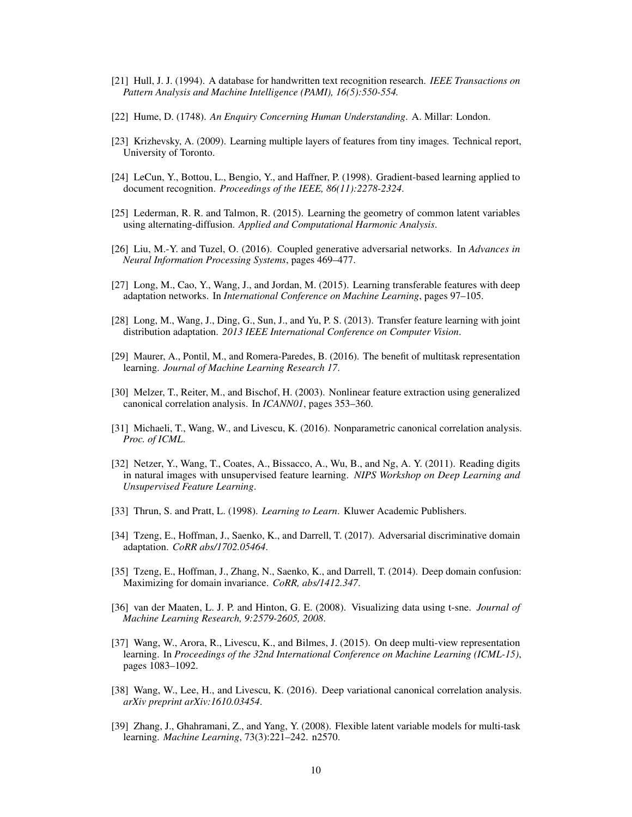- [21] Hull, J. J. (1994). A database for handwritten text recognition research. *IEEE Transactions on Pattern Analysis and Machine Intelligence (PAMI), 16(5):550-554.*
- [22] Hume, D. (1748). *An Enquiry Concerning Human Understanding*. A. Millar: London.
- [23] Krizhevsky, A. (2009). Learning multiple layers of features from tiny images. Technical report, University of Toronto.
- [24] LeCun, Y., Bottou, L., Bengio, Y., and Haffner, P. (1998). Gradient-based learning applied to document recognition. *Proceedings of the IEEE, 86(11):2278-2324*.
- [25] Lederman, R. R. and Talmon, R. (2015). Learning the geometry of common latent variables using alternating-diffusion. *Applied and Computational Harmonic Analysis*.
- [26] Liu, M.-Y. and Tuzel, O. (2016). Coupled generative adversarial networks. In *Advances in Neural Information Processing Systems*, pages 469–477.
- [27] Long, M., Cao, Y., Wang, J., and Jordan, M. (2015). Learning transferable features with deep adaptation networks. In *International Conference on Machine Learning*, pages 97–105.
- [28] Long, M., Wang, J., Ding, G., Sun, J., and Yu, P. S. (2013). Transfer feature learning with joint distribution adaptation. *2013 IEEE International Conference on Computer Vision*.
- [29] Maurer, A., Pontil, M., and Romera-Paredes, B. (2016). The benefit of multitask representation learning. *Journal of Machine Learning Research 17*.
- [30] Melzer, T., Reiter, M., and Bischof, H. (2003). Nonlinear feature extraction using generalized canonical correlation analysis. In *ICANN01*, pages 353–360.
- [31] Michaeli, T., Wang, W., and Livescu, K. (2016). Nonparametric canonical correlation analysis. *Proc. of ICML*.
- [32] Netzer, Y., Wang, T., Coates, A., Bissacco, A., Wu, B., and Ng, A. Y. (2011). Reading digits in natural images with unsupervised feature learning. *NIPS Workshop on Deep Learning and Unsupervised Feature Learning*.
- [33] Thrun, S. and Pratt, L. (1998). *Learning to Learn*. Kluwer Academic Publishers.
- [34] Tzeng, E., Hoffman, J., Saenko, K., and Darrell, T. (2017). Adversarial discriminative domain adaptation. *CoRR abs/1702.05464*.
- [35] Tzeng, E., Hoffman, J., Zhang, N., Saenko, K., and Darrell, T. (2014). Deep domain confusion: Maximizing for domain invariance. *CoRR, abs/1412.347*.
- [36] van der Maaten, L. J. P. and Hinton, G. E. (2008). Visualizing data using t-sne. *Journal of Machine Learning Research, 9:2579-2605, 2008*.
- [37] Wang, W., Arora, R., Livescu, K., and Bilmes, J. (2015). On deep multi-view representation learning. In *Proceedings of the 32nd International Conference on Machine Learning (ICML-15)*, pages 1083–1092.
- [38] Wang, W., Lee, H., and Livescu, K. (2016). Deep variational canonical correlation analysis. *arXiv preprint arXiv:1610.03454*.
- [39] Zhang, J., Ghahramani, Z., and Yang, Y. (2008). Flexible latent variable models for multi-task learning. *Machine Learning*, 73(3):221–242. n2570.